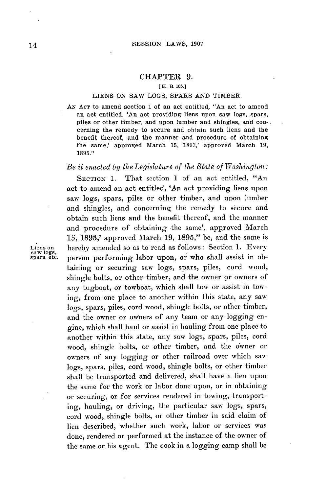### CHAPTER **9.**

### **[H.** B. **105.]**

#### **LIENS ON** SAW **LOGS,** SPARS **AND** TIMBER.

**AN ACT** to amend section **1** of an act entitled, "An act to amend an act entitled, 'An act providing liens upon saw logs, spars, piles or other timber, and upon lumber and shingles, and concerning the remedy to secure and obtain such liens and the benefit thereof, and the manner and procedure of obtaining the same,' approved March **15, 1893,'** approved March **19, 1895."**

# *Be it enacted by theLegislature of the State of Washington:*

SECTION 1. That section 1 of an act entitled, "An act to amend an act entitled, 'An act providing liens upon saw logs, spars, piles or other timber, and upon lumber and shingles, and concerning the remedy to secure and obtain such liens and the benefit thereof, and the manner and procedure of obtaining the same', approved March **15, 1893,'** approved March **19, 1895,"** be, and the same is Liens on hereby amended so as to read as follows: Section 1. Every saw *logs*, spars, etc. person performing labor upon, or who shall assist in obperson performing labor upon, or who shall assist in obtaining or securing saw logs, spars, piles, cord wood, shingle bolts, or other timber, and the owner or owners of any tugboat, or towboat, which shall tow or assist in towing, from one place to another within this state, any saw logs, spars, piles, cord wood, shingle bolts, or other timber, and the owner or owners of any team or any logging engine, which shall haul or assist in hauling from one place to another within this state, any saw logs, spars, piles, cord wood, shingle bolts, or other timber, and the owner or owners of any logging or other railroad over which saw logs, spars, piles, cord wood, shingle bolts, or other timber shall be transported and delivered, shall have a lien upon the same for the work or labor done upon, or in obtaining or securing, or for services rendered in towing, transport**ing,** hauling, or driving, the particular saw logs, spars, cord wood, shingle bolts, or other timber in said claim of lien described, whether such work, labor or services was done, rendered or performed at the instance of the owner of the same or his agent. The cook in a logging camp shall **be**